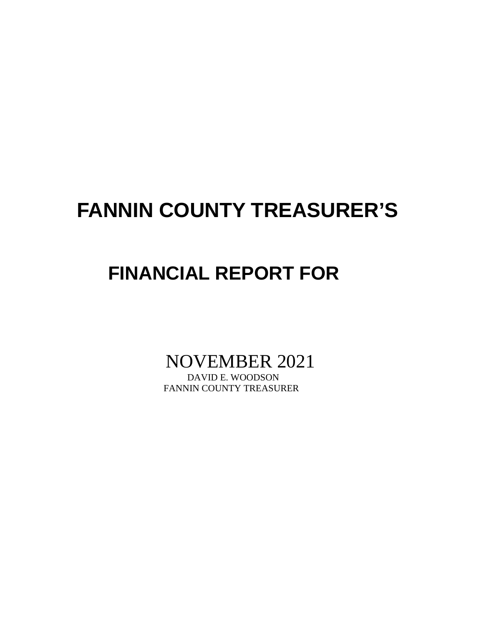# **FANNIN COUNTY TREASURER'S**

## **FINANCIAL REPORT FOR**

NOVEMBER 2021

FANNIN COUNTY TREASURER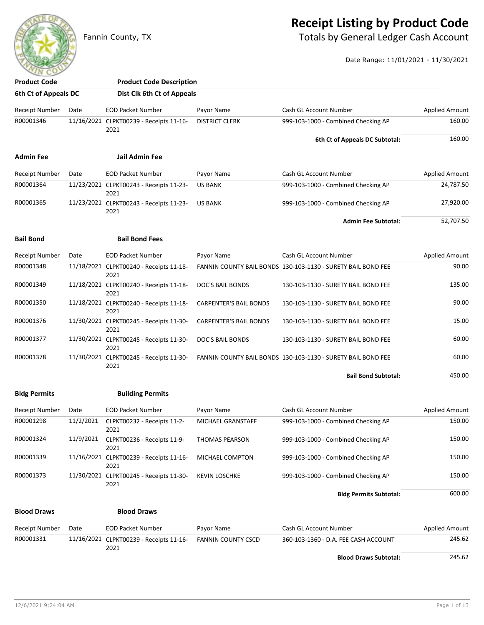### **Receipt Listing by Product Code**

Fannin County, TX **Fannin County, TX** Totals by General Ledger Cash Account

Date Range: 11/01/2021 - 11/30/2021

| <b>Product Code</b>   |           | <b>Product Code Description</b>                 |                               |                                                              |                       |
|-----------------------|-----------|-------------------------------------------------|-------------------------------|--------------------------------------------------------------|-----------------------|
| 6th Ct of Appeals DC  |           | Dist Clk 6th Ct of Appeals                      |                               |                                                              |                       |
| <b>Receipt Number</b> | Date      | <b>EOD Packet Number</b>                        | Payor Name                    | Cash GL Account Number                                       | <b>Applied Amount</b> |
| R00001346             |           | 11/16/2021 CLPKT00239 - Receipts 11-16-<br>2021 | <b>DISTRICT CLERK</b>         | 999-103-1000 - Combined Checking AP                          | 160.00                |
|                       |           |                                                 |                               | 6th Ct of Appeals DC Subtotal:                               | 160.00                |
| <b>Admin Fee</b>      |           | Jail Admin Fee                                  |                               |                                                              |                       |
| <b>Receipt Number</b> | Date      | <b>EOD Packet Number</b>                        | Payor Name                    | Cash GL Account Number                                       | <b>Applied Amount</b> |
| R00001364             |           | 11/23/2021 CLPKT00243 - Receipts 11-23-<br>2021 | <b>US BANK</b>                | 999-103-1000 - Combined Checking AP                          | 24,787.50             |
| R00001365             |           | 11/23/2021 CLPKT00243 - Receipts 11-23-<br>2021 | <b>US BANK</b>                | 999-103-1000 - Combined Checking AP                          | 27,920.00             |
|                       |           |                                                 |                               | <b>Admin Fee Subtotal:</b>                                   | 52,707.50             |
| <b>Bail Bond</b>      |           | <b>Bail Bond Fees</b>                           |                               |                                                              |                       |
| <b>Receipt Number</b> | Date      | <b>EOD Packet Number</b>                        | Payor Name                    | Cash GL Account Number                                       | <b>Applied Amount</b> |
| R00001348             |           | 11/18/2021 CLPKT00240 - Receipts 11-18-<br>2021 |                               | FANNIN COUNTY BAIL BONDS 130-103-1130 - SURETY BAIL BOND FEE | 90.00                 |
| R00001349             |           | 11/18/2021 CLPKT00240 - Receipts 11-18-<br>2021 | DOC'S BAIL BONDS              | 130-103-1130 - SURETY BAIL BOND FEE                          | 135.00                |
| R00001350             |           | 11/18/2021 CLPKT00240 - Receipts 11-18-<br>2021 | <b>CARPENTER'S BAIL BONDS</b> | 130-103-1130 - SURETY BAIL BOND FEE                          | 90.00                 |
| R00001376             |           | 11/30/2021 CLPKT00245 - Receipts 11-30-<br>2021 | <b>CARPENTER'S BAIL BONDS</b> | 130-103-1130 - SURETY BAIL BOND FEE                          | 15.00                 |
| R00001377             |           | 11/30/2021 CLPKT00245 - Receipts 11-30-<br>2021 | DOC'S BAIL BONDS              | 130-103-1130 - SURETY BAIL BOND FEE                          | 60.00                 |
| R00001378             |           | 11/30/2021 CLPKT00245 - Receipts 11-30-<br>2021 |                               | FANNIN COUNTY BAIL BONDS 130-103-1130 - SURETY BAIL BOND FEE | 60.00                 |
|                       |           |                                                 |                               | <b>Bail Bond Subtotal:</b>                                   | 450.00                |
| <b>Bldg Permits</b>   |           | <b>Building Permits</b>                         |                               |                                                              |                       |
| <b>Receipt Number</b> | Date      | <b>EOD Packet Number</b>                        | Payor Name                    | Cash GL Account Number                                       | <b>Applied Amount</b> |
| R00001298             | 11/2/2021 | CLPKT00232 - Receipts 11-2-<br>2021             | MICHAEL GRANSTAFF             | 999-103-1000 - Combined Checking AP                          | 150.00                |
| R00001324             | 11/9/2021 | CLPKT00236 - Receipts 11-9-<br>2021             | <b>THOMAS PEARSON</b>         | 999-103-1000 - Combined Checking AP                          | 150.00                |
| R00001339             |           | 11/16/2021 CLPKT00239 - Receipts 11-16-<br>2021 | MICHAEL COMPTON               | 999-103-1000 - Combined Checking AP                          | 150.00                |
| R00001373             |           | 11/30/2021 CLPKT00245 - Receipts 11-30-<br>2021 | <b>KEVIN LOSCHKE</b>          | 999-103-1000 - Combined Checking AP                          | 150.00                |
|                       |           |                                                 |                               | <b>Bldg Permits Subtotal:</b>                                | 600.00                |
| <b>Blood Draws</b>    |           | <b>Blood Draws</b>                              |                               |                                                              |                       |
| Receipt Number        | Date      | <b>EOD Packet Number</b>                        | Payor Name                    | Cash GL Account Number                                       | <b>Applied Amount</b> |
| R00001331             |           | 11/16/2021 CLPKT00239 - Receipts 11-16-         | <b>FANNIN COUNTY CSCD</b>     | 360-103-1360 - D.A. FEE CASH ACCOUNT                         | 245.62                |
|                       |           | 2021                                            |                               | <b>Blood Draws Subtotal:</b>                                 | 245.62                |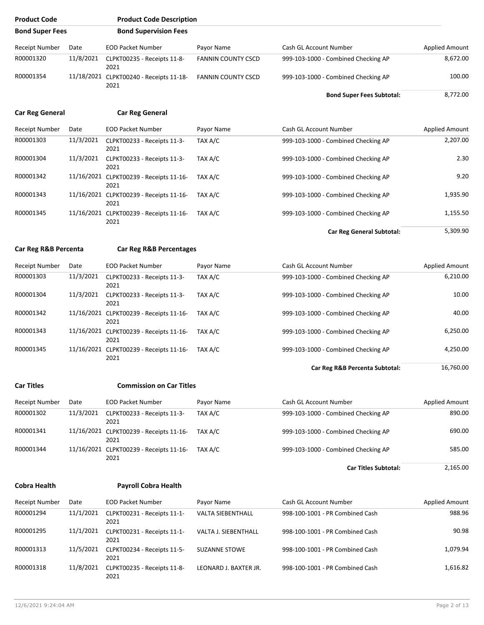| <b>Product Code</b>    |           | <b>Product Code Description</b>                 |                           |                        |                                     |                       |
|------------------------|-----------|-------------------------------------------------|---------------------------|------------------------|-------------------------------------|-----------------------|
| <b>Bond Super Fees</b> |           | <b>Bond Supervision Fees</b>                    |                           |                        |                                     |                       |
| <b>Receipt Number</b>  | Date      | EOD Packet Number                               | Payor Name                | Cash GL Account Number |                                     | Applied Amount        |
| R00001320              | 11/8/2021 | CLPKT00235 - Receipts 11-8-<br>2021             | <b>FANNIN COUNTY CSCD</b> |                        | 999-103-1000 - Combined Checking AP | 8,672.00              |
| R00001354              |           | 11/18/2021 CLPKT00240 - Receipts 11-18-<br>2021 | <b>FANNIN COUNTY CSCD</b> |                        | 999-103-1000 - Combined Checking AP | 100.00                |
|                        |           |                                                 |                           |                        | <b>Bond Super Fees Subtotal:</b>    | 8,772.00              |
| <b>Car Reg General</b> |           | <b>Car Reg General</b>                          |                           |                        |                                     |                       |
| <b>Receipt Number</b>  | Date      | <b>EOD Packet Number</b>                        | Payor Name                | Cash GL Account Number |                                     | Applied Amount        |
| R00001303              | 11/3/2021 | CLPKT00233 - Receipts 11-3-<br>2021             | TAX A/C                   |                        | 999-103-1000 - Combined Checking AP | 2,207.00              |
| R00001304              | 11/3/2021 | CLPKT00233 - Receipts 11-3-<br>2021             | TAX A/C                   |                        | 999-103-1000 - Combined Checking AP | 2.30                  |
| R00001342              |           | 11/16/2021 CLPKT00239 - Receipts 11-16-<br>2021 | TAX A/C                   |                        | 999-103-1000 - Combined Checking AP | 9.20                  |
| R00001343              |           | 11/16/2021 CLPKT00239 - Receipts 11-16-<br>2021 | TAX A/C                   |                        | 999-103-1000 - Combined Checking AP | 1,935.90              |
| R00001345              |           | 11/16/2021 CLPKT00239 - Receipts 11-16-<br>2021 | TAX A/C                   |                        | 999-103-1000 - Combined Checking AP | 1,155.50              |
|                        |           |                                                 |                           |                        | <b>Car Reg General Subtotal:</b>    | 5,309.90              |
| Car Reg R&B Percenta   |           | <b>Car Reg R&amp;B Percentages</b>              |                           |                        |                                     |                       |
| <b>Receipt Number</b>  | Date      | <b>EOD Packet Number</b>                        | Payor Name                | Cash GL Account Number |                                     | Applied Amount        |
| R00001303              | 11/3/2021 | CLPKT00233 - Receipts 11-3-<br>2021             | TAX A/C                   |                        | 999-103-1000 - Combined Checking AP | 6,210.00              |
| R00001304              | 11/3/2021 | CLPKT00233 - Receipts 11-3-<br>2021             | TAX A/C                   |                        | 999-103-1000 - Combined Checking AP | 10.00                 |
| R00001342              |           | 11/16/2021 CLPKT00239 - Receipts 11-16-<br>2021 | TAX A/C                   |                        | 999-103-1000 - Combined Checking AP | 40.00                 |
| R00001343              |           | 11/16/2021 CLPKT00239 - Receipts 11-16-<br>2021 | TAX A/C                   |                        | 999-103-1000 - Combined Checking AP | 6,250.00              |
| R00001345              |           | 11/16/2021 CLPKT00239 - Receipts 11-16-<br>2021 | TAX A/C                   |                        | 999-103-1000 - Combined Checking AP | 4,250.00              |
|                        |           |                                                 |                           |                        | Car Reg R&B Percenta Subtotal:      | 16,760.00             |
| <b>Car Titles</b>      |           | <b>Commission on Car Titles</b>                 |                           |                        |                                     |                       |
| Receipt Number         | Date      | <b>EOD Packet Number</b>                        | Payor Name                | Cash GL Account Number |                                     | <b>Applied Amount</b> |
| R00001302              | 11/3/2021 | CLPKT00233 - Receipts 11-3-<br>2021             | TAX A/C                   |                        | 999-103-1000 - Combined Checking AP | 890.00                |
| R00001341              |           | 11/16/2021 CLPKT00239 - Receipts 11-16-<br>2021 | TAX A/C                   |                        | 999-103-1000 - Combined Checking AP | 690.00                |
| R00001344              |           | 11/16/2021 CLPKT00239 - Receipts 11-16-<br>2021 | TAX A/C                   |                        | 999-103-1000 - Combined Checking AP | 585.00                |
|                        |           |                                                 |                           |                        | <b>Car Titles Subtotal:</b>         | 2,165.00              |
| <b>Cobra Health</b>    |           | <b>Payroll Cobra Health</b>                     |                           |                        |                                     |                       |
| Receipt Number         | Date      | <b>EOD Packet Number</b>                        | Payor Name                | Cash GL Account Number |                                     | <b>Applied Amount</b> |
| R00001294              | 11/1/2021 | CLPKT00231 - Receipts 11-1-<br>2021             | VALTA SIEBENTHALL         |                        | 998-100-1001 - PR Combined Cash     | 988.96                |
| R00001295              | 11/1/2021 | CLPKT00231 - Receipts 11-1-<br>2021             | VALTA J. SIEBENTHALL      |                        | 998-100-1001 - PR Combined Cash     | 90.98                 |
| R00001313              | 11/5/2021 | CLPKT00234 - Receipts 11-5-<br>2021             | <b>SUZANNE STOWE</b>      |                        | 998-100-1001 - PR Combined Cash     | 1,079.94              |

R00001318 11/8/2021 CLPKT00235 - Receipts 11-8- LEONARD J. BAXTER JR. 998-100-1001 - PR Combined Cash 1,616.82

2021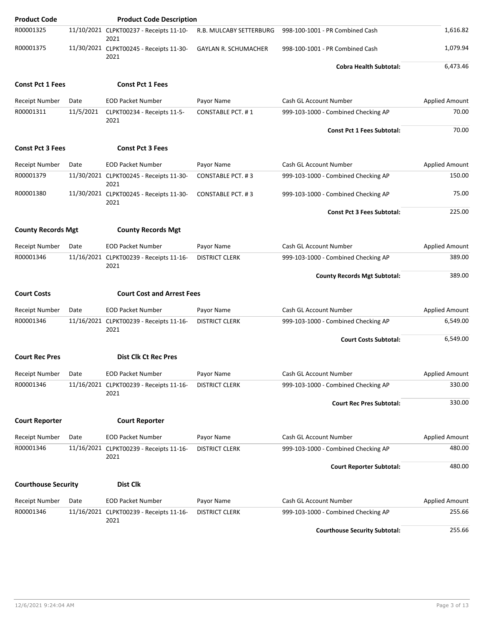| <b>Product Code</b>        |           | <b>Product Code Description</b>                 |                             |                                      |                       |
|----------------------------|-----------|-------------------------------------------------|-----------------------------|--------------------------------------|-----------------------|
| R00001325                  |           | 11/10/2021 CLPKT00237 - Receipts 11-10-<br>2021 | R.B. MULCABY SETTERBURG     | 998-100-1001 - PR Combined Cash      | 1,616.82              |
| R00001375                  |           | 11/30/2021 CLPKT00245 - Receipts 11-30-<br>2021 | <b>GAYLAN R. SCHUMACHER</b> | 998-100-1001 - PR Combined Cash      | 1,079.94              |
|                            |           |                                                 |                             | <b>Cobra Health Subtotal:</b>        | 6,473.46              |
| <b>Const Pct 1 Fees</b>    |           | <b>Const Pct 1 Fees</b>                         |                             |                                      |                       |
| <b>Receipt Number</b>      | Date      | <b>EOD Packet Number</b>                        | Payor Name                  | Cash GL Account Number               | <b>Applied Amount</b> |
| R00001311                  | 11/5/2021 | CLPKT00234 - Receipts 11-5-<br>2021             | <b>CONSTABLE PCT. #1</b>    | 999-103-1000 - Combined Checking AP  | 70.00                 |
|                            |           |                                                 |                             | <b>Const Pct 1 Fees Subtotal:</b>    | 70.00                 |
| <b>Const Pct 3 Fees</b>    |           | <b>Const Pct 3 Fees</b>                         |                             |                                      |                       |
| <b>Receipt Number</b>      | Date      | <b>EOD Packet Number</b>                        | Payor Name                  | Cash GL Account Number               | <b>Applied Amount</b> |
| R00001379                  |           | 11/30/2021 CLPKT00245 - Receipts 11-30-<br>2021 | <b>CONSTABLE PCT. #3</b>    | 999-103-1000 - Combined Checking AP  | 150.00                |
| R00001380                  |           | 11/30/2021 CLPKT00245 - Receipts 11-30-<br>2021 | <b>CONSTABLE PCT. #3</b>    | 999-103-1000 - Combined Checking AP  | 75.00                 |
|                            |           |                                                 |                             | <b>Const Pct 3 Fees Subtotal:</b>    | 225.00                |
| <b>County Records Mgt</b>  |           | <b>County Records Mgt</b>                       |                             |                                      |                       |
| Receipt Number             | Date      | <b>EOD Packet Number</b>                        | Payor Name                  | Cash GL Account Number               | <b>Applied Amount</b> |
| R00001346                  |           | 11/16/2021 CLPKT00239 - Receipts 11-16-         | <b>DISTRICT CLERK</b>       | 999-103-1000 - Combined Checking AP  | 389.00                |
|                            |           | 2021                                            |                             | <b>County Records Mgt Subtotal:</b>  | 389.00                |
| <b>Court Costs</b>         |           | <b>Court Cost and Arrest Fees</b>               |                             |                                      |                       |
| <b>Receipt Number</b>      | Date      | <b>EOD Packet Number</b>                        | Payor Name                  | <b>Cash GL Account Number</b>        | <b>Applied Amount</b> |
| R00001346                  |           | 11/16/2021 CLPKT00239 - Receipts 11-16-         | <b>DISTRICT CLERK</b>       | 999-103-1000 - Combined Checking AP  | 6,549.00              |
|                            |           | 2021                                            |                             | <b>Court Costs Subtotal:</b>         | 6,549.00              |
| <b>Court Rec Pres</b>      |           | <b>Dist Clk Ct Rec Pres</b>                     |                             |                                      |                       |
| Receipt Number             | Date      | <b>EOD Packet Number</b>                        | Payor Name                  | Cash GL Account Number               | <b>Applied Amount</b> |
| R00001346                  |           | 11/16/2021 CLPKT00239 - Receipts 11-16-         | <b>DISTRICT CLERK</b>       | 999-103-1000 - Combined Checking AP  | 330.00                |
|                            |           | 2021                                            |                             |                                      |                       |
|                            |           |                                                 |                             | <b>Court Rec Pres Subtotal:</b>      | 330.00                |
| <b>Court Reporter</b>      |           | <b>Court Reporter</b>                           |                             |                                      |                       |
| Receipt Number             | Date      | <b>EOD Packet Number</b>                        | Payor Name                  | <b>Cash GL Account Number</b>        | <b>Applied Amount</b> |
| R00001346                  |           | 11/16/2021 CLPKT00239 - Receipts 11-16-<br>2021 | <b>DISTRICT CLERK</b>       | 999-103-1000 - Combined Checking AP  | 480.00                |
|                            |           |                                                 |                             | <b>Court Reporter Subtotal:</b>      | 480.00                |
| <b>Courthouse Security</b> |           | Dist Clk                                        |                             |                                      |                       |
| Receipt Number             | Date      | <b>EOD Packet Number</b>                        | Payor Name                  | Cash GL Account Number               | <b>Applied Amount</b> |
| R00001346                  |           | 11/16/2021 CLPKT00239 - Receipts 11-16-         | <b>DISTRICT CLERK</b>       | 999-103-1000 - Combined Checking AP  | 255.66                |
|                            |           | 2021                                            |                             | <b>Courthouse Security Subtotal:</b> | 255.66                |

12/6/2021 9:24:04 AM Page 3 of 13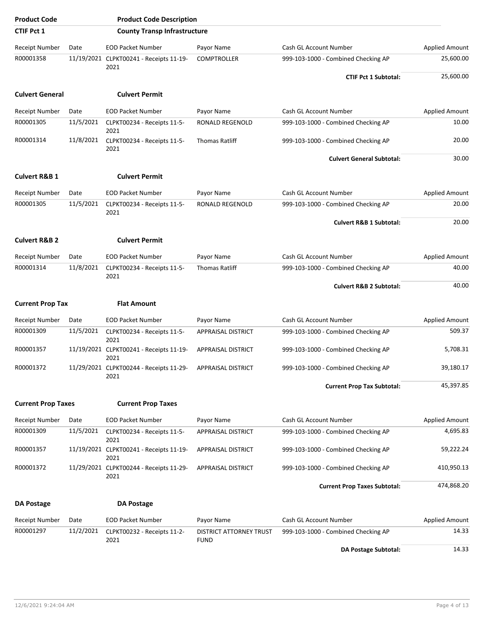| <b>Product Code</b>       |           | <b>Product Code Description</b>                 |                                        |                                     |                       |
|---------------------------|-----------|-------------------------------------------------|----------------------------------------|-------------------------------------|-----------------------|
| <b>CTIF Pct 1</b>         |           | <b>County Transp Infrastructure</b>             |                                        |                                     |                       |
| Receipt Number            | Date      | <b>EOD Packet Number</b>                        | Payor Name                             | Cash GL Account Number              | <b>Applied Amount</b> |
| R00001358                 |           | 11/19/2021 CLPKT00241 - Receipts 11-19-<br>2021 | <b>COMPTROLLER</b>                     | 999-103-1000 - Combined Checking AP | 25,600.00             |
|                           |           |                                                 |                                        | <b>CTIF Pct 1 Subtotal:</b>         | 25,600.00             |
| <b>Culvert General</b>    |           | <b>Culvert Permit</b>                           |                                        |                                     |                       |
| Receipt Number            | Date      | <b>EOD Packet Number</b>                        | Payor Name                             | Cash GL Account Number              | Applied Amount        |
| R00001305                 | 11/5/2021 | CLPKT00234 - Receipts 11-5-<br>2021             | RONALD REGENOLD                        | 999-103-1000 - Combined Checking AP | 10.00                 |
| R00001314                 | 11/8/2021 | CLPKT00234 - Receipts 11-5-<br>2021             | <b>Thomas Ratliff</b>                  | 999-103-1000 - Combined Checking AP | 20.00                 |
|                           |           |                                                 |                                        | <b>Culvert General Subtotal:</b>    | 30.00                 |
| <b>Culvert R&amp;B 1</b>  |           | <b>Culvert Permit</b>                           |                                        |                                     |                       |
| Receipt Number            | Date      | <b>EOD Packet Number</b>                        | Payor Name                             | Cash GL Account Number              | <b>Applied Amount</b> |
| R00001305                 | 11/5/2021 | CLPKT00234 - Receipts 11-5-<br>2021             | RONALD REGENOLD                        | 999-103-1000 - Combined Checking AP | 20.00                 |
|                           |           |                                                 |                                        | <b>Culvert R&amp;B 1 Subtotal:</b>  | 20.00                 |
| <b>Culvert R&amp;B 2</b>  |           | <b>Culvert Permit</b>                           |                                        |                                     |                       |
| Receipt Number            | Date      | <b>EOD Packet Number</b>                        | Payor Name                             | Cash GL Account Number              | <b>Applied Amount</b> |
| R00001314                 | 11/8/2021 | CLPKT00234 - Receipts 11-5-<br>2021             | <b>Thomas Ratliff</b>                  | 999-103-1000 - Combined Checking AP | 40.00                 |
|                           |           |                                                 |                                        | <b>Culvert R&amp;B 2 Subtotal:</b>  | 40.00                 |
| <b>Current Prop Tax</b>   |           | <b>Flat Amount</b>                              |                                        |                                     |                       |
| Receipt Number            | Date      | <b>EOD Packet Number</b>                        | Payor Name                             | Cash GL Account Number              | <b>Applied Amount</b> |
| R00001309                 | 11/5/2021 | CLPKT00234 - Receipts 11-5-<br>2021             | <b>APPRAISAL DISTRICT</b>              | 999-103-1000 - Combined Checking AP | 509.37                |
| R00001357                 |           | 11/19/2021 CLPKT00241 - Receipts 11-19-<br>2021 | APPRAISAL DISTRICT                     | 999-103-1000 - Combined Checking AP | 5,708.31              |
| R00001372                 |           | 11/29/2021 CLPKT00244 - Receipts 11-29-<br>2021 | APPRAISAL DISTRICT                     | 999-103-1000 - Combined Checking AP | 39,180.17             |
|                           |           |                                                 |                                        | <b>Current Prop Tax Subtotal:</b>   | 45,397.85             |
| <b>Current Prop Taxes</b> |           | <b>Current Prop Taxes</b>                       |                                        |                                     |                       |
| Receipt Number            | Date      | <b>EOD Packet Number</b>                        | Payor Name                             | <b>Cash GL Account Number</b>       | Applied Amount        |
| R00001309                 | 11/5/2021 | CLPKT00234 - Receipts 11-5-<br>2021             | APPRAISAL DISTRICT                     | 999-103-1000 - Combined Checking AP | 4,695.83              |
| R00001357                 |           | 11/19/2021 CLPKT00241 - Receipts 11-19-<br>2021 | APPRAISAL DISTRICT                     | 999-103-1000 - Combined Checking AP | 59,222.24             |
| R00001372                 |           | 11/29/2021 CLPKT00244 - Receipts 11-29-<br>2021 | APPRAISAL DISTRICT                     | 999-103-1000 - Combined Checking AP | 410,950.13            |
|                           |           |                                                 |                                        | <b>Current Prop Taxes Subtotal:</b> | 474,868.20            |
| <b>DA Postage</b>         |           | <b>DA Postage</b>                               |                                        |                                     |                       |
| Receipt Number            | Date      | <b>EOD Packet Number</b>                        | Payor Name                             | Cash GL Account Number              | <b>Applied Amount</b> |
| R00001297                 | 11/2/2021 | CLPKT00232 - Receipts 11-2-<br>2021             | DISTRICT ATTORNEY TRUST<br><b>FUND</b> | 999-103-1000 - Combined Checking AP | 14.33                 |
|                           |           |                                                 |                                        | <b>DA Postage Subtotal:</b>         | 14.33                 |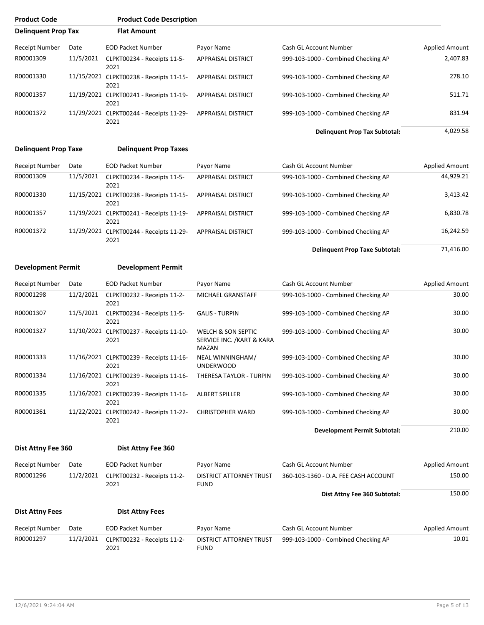| <b>Product Code</b>        |            | <b>Product Code Description</b>                 |                           |                                      |                       |
|----------------------------|------------|-------------------------------------------------|---------------------------|--------------------------------------|-----------------------|
| <b>Delinquent Prop Tax</b> |            | <b>Flat Amount</b>                              |                           |                                      |                       |
| Receipt Number             | Date       | <b>EOD Packet Number</b>                        | Payor Name                | Cash GL Account Number               | <b>Applied Amount</b> |
| R00001309                  | 11/5/2021  | CLPKT00234 - Receipts 11-5-<br>2021             | <b>APPRAISAL DISTRICT</b> | 999-103-1000 - Combined Checking AP  | 2,407.83              |
| R00001330                  | 11/15/2021 | CLPKT00238 - Receipts 11-15-<br>2021            | <b>APPRAISAL DISTRICT</b> | 999-103-1000 - Combined Checking AP  | 278.10                |
| R00001357                  |            | 11/19/2021 CLPKT00241 - Receipts 11-19-<br>2021 | <b>APPRAISAL DISTRICT</b> | 999-103-1000 - Combined Checking AP  | 511.71                |
| R00001372                  | 11/29/2021 | CLPKT00244 - Receipts 11-29-<br>2021            | <b>APPRAISAL DISTRICT</b> | 999-103-1000 - Combined Checking AP  | 831.94                |
|                            |            |                                                 |                           | <b>Delinquent Prop Tax Subtotal:</b> | 4.029.58              |

#### **Delinquent Prop Taxe Delinquent Prop Taxes**

| <b>Receipt Number</b> | Date      | <b>EOD Packet Number</b>                        | Payor Name                | Cash GL Account Number              | <b>Applied Amount</b> |
|-----------------------|-----------|-------------------------------------------------|---------------------------|-------------------------------------|-----------------------|
| R00001309             | 11/5/2021 | CLPKT00234 - Receipts 11-5-<br>2021             | <b>APPRAISAL DISTRICT</b> | 999-103-1000 - Combined Checking AP | 44,929.21             |
| R00001330             |           | 11/15/2021 CLPKT00238 - Receipts 11-15-<br>2021 | <b>APPRAISAL DISTRICT</b> | 999-103-1000 - Combined Checking AP | 3,413.42              |
| R00001357             |           | 11/19/2021 CLPKT00241 - Receipts 11-19-<br>2021 | <b>APPRAISAL DISTRICT</b> | 999-103-1000 - Combined Checking AP | 6,830.78              |
| R00001372             |           | 11/29/2021 CLPKT00244 - Receipts 11-29-<br>2021 | <b>APPRAISAL DISTRICT</b> | 999-103-1000 - Combined Checking AP | 16,242.59             |

**Delinquent Prop Taxe Subtotal:** 71,416.00

#### **Development Permit Development Permit**

| Receipt Number | Date       | <b>EOD Packet Number</b>                        | Payor Name                                                           | Cash GL Account Number              | <b>Applied Amount</b> |
|----------------|------------|-------------------------------------------------|----------------------------------------------------------------------|-------------------------------------|-----------------------|
| R00001298      | 11/2/2021  | CLPKT00232 - Receipts 11-2-<br>2021             | MICHAEL GRANSTAFF                                                    | 999-103-1000 - Combined Checking AP | 30.00                 |
| R00001307      | 11/5/2021  | CLPKT00234 - Receipts 11-5-<br>2021             | <b>GALIS - TURPIN</b>                                                | 999-103-1000 - Combined Checking AP | 30.00                 |
| R00001327      | 11/10/2021 | CLPKT00237 - Receipts 11-10-<br>2021            | <b>WELCH &amp; SON SEPTIC</b><br>SERVICE INC. / KART & KARA<br>MAZAN | 999-103-1000 - Combined Checking AP | 30.00                 |
| R00001333      |            | 11/16/2021 CLPKT00239 - Receipts 11-16-<br>2021 | NEAL WINNINGHAM/<br><b>UNDERWOOD</b>                                 | 999-103-1000 - Combined Checking AP | 30.00                 |
| R00001334      | 11/16/2021 | CLPKT00239 - Receipts 11-16-<br>2021            | THERESA TAYLOR - TURPIN                                              | 999-103-1000 - Combined Checking AP | 30.00                 |
| R00001335      | 11/16/2021 | CLPKT00239 - Receipts 11-16-<br>2021            | <b>ALBERT SPILLER</b>                                                | 999-103-1000 - Combined Checking AP | 30.00                 |
| R00001361      | 11/22/2021 | CLPKT00242 - Receipts 11-22-<br>2021            | <b>CHRISTOPHER WARD</b>                                              | 999-103-1000 - Combined Checking AP | 30.00                 |

**Development Permit Subtotal:** 210.00

#### **Dist Attny Fee 360 Dist Attny Fee 360**

| Dist Attny Fee 360 |  |  |
|--------------------|--|--|
|--------------------|--|--|

| Receipt Number         | Date      | <b>EOD Packet Number</b>            | Payor Name                             | Cash GL Account Number               | Applied Amount        |
|------------------------|-----------|-------------------------------------|----------------------------------------|--------------------------------------|-----------------------|
| R00001296              | 11/2/2021 | CLPKT00232 - Receipts 11-2-<br>2021 | DISTRICT ATTORNEY TRUST<br><b>FUND</b> | 360-103-1360 - D.A. FEE CASH ACCOUNT | 150.00                |
|                        |           |                                     |                                        | Dist Attny Fee 360 Subtotal:         | 150.00                |
| <b>Dist Attny Fees</b> |           | <b>Dist Attny Fees</b>              |                                        |                                      |                       |
| Receipt Number         | Date      | <b>EOD Packet Number</b>            | Payor Name                             | Cash GL Account Number               | <b>Applied Amount</b> |
| R00001297              | 11/2/2021 | CLPKT00232 - Receipts 11-2-<br>2021 | DISTRICT ATTORNEY TRUST<br><b>FUND</b> | 999-103-1000 - Combined Checking AP  | 10.01                 |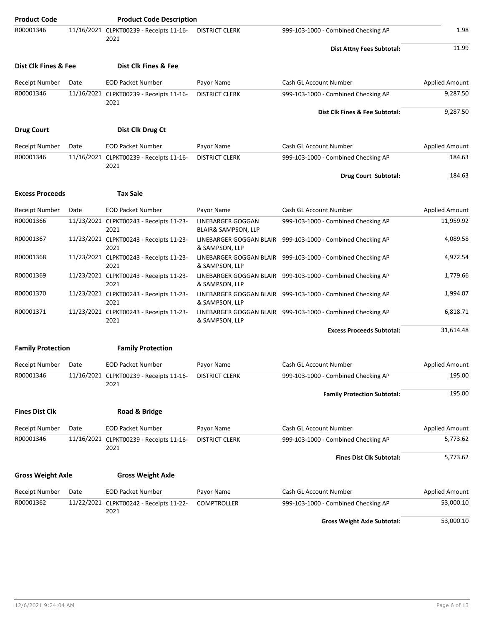| <b>Product Code</b>      |      | <b>Product Code Description</b>                 |                                           |                                                             |                       |
|--------------------------|------|-------------------------------------------------|-------------------------------------------|-------------------------------------------------------------|-----------------------|
| R00001346                |      | 11/16/2021 CLPKT00239 - Receipts 11-16-<br>2021 | <b>DISTRICT CLERK</b>                     | 999-103-1000 - Combined Checking AP                         | 1.98                  |
|                          |      |                                                 |                                           | Dist Attny Fees Subtotal:                                   | 11.99                 |
| Dist Clk Fines & Fee     |      | Dist Clk Fines & Fee                            |                                           |                                                             |                       |
| Receipt Number           | Date | <b>EOD Packet Number</b>                        | Payor Name                                | Cash GL Account Number                                      | <b>Applied Amount</b> |
| R00001346                |      | 11/16/2021 CLPKT00239 - Receipts 11-16-<br>2021 | <b>DISTRICT CLERK</b>                     | 999-103-1000 - Combined Checking AP                         | 9,287.50              |
|                          |      |                                                 |                                           | Dist Clk Fines & Fee Subtotal:                              | 9,287.50              |
| <b>Drug Court</b>        |      | Dist Clk Drug Ct                                |                                           |                                                             |                       |
| <b>Receipt Number</b>    | Date | <b>EOD Packet Number</b>                        | Payor Name                                | Cash GL Account Number                                      | <b>Applied Amount</b> |
| R00001346                |      | 11/16/2021 CLPKT00239 - Receipts 11-16-<br>2021 | <b>DISTRICT CLERK</b>                     | 999-103-1000 - Combined Checking AP                         | 184.63                |
|                          |      |                                                 |                                           | Drug Court Subtotal:                                        | 184.63                |
| <b>Excess Proceeds</b>   |      | <b>Tax Sale</b>                                 |                                           |                                                             |                       |
| <b>Receipt Number</b>    | Date | <b>EOD Packet Number</b>                        | Payor Name                                | Cash GL Account Number                                      | <b>Applied Amount</b> |
| R00001366                |      | 11/23/2021 CLPKT00243 - Receipts 11-23-<br>2021 | LINEBARGER GOGGAN<br>BLAIR& SAMPSON, LLP  | 999-103-1000 - Combined Checking AP                         | 11,959.92             |
| R00001367                |      | 11/23/2021 CLPKT00243 - Receipts 11-23-<br>2021 | LINEBARGER GOGGAN BLAIR<br>& SAMPSON, LLP | 999-103-1000 - Combined Checking AP                         | 4,089.58              |
| R00001368                |      | 11/23/2021 CLPKT00243 - Receipts 11-23-<br>2021 | & SAMPSON, LLP                            | LINEBARGER GOGGAN BLAIR 999-103-1000 - Combined Checking AP | 4,972.54              |
| R00001369                |      | 11/23/2021 CLPKT00243 - Receipts 11-23-<br>2021 | & SAMPSON, LLP                            | LINEBARGER GOGGAN BLAIR 999-103-1000 - Combined Checking AP | 1,779.66              |
| R00001370                |      | 11/23/2021 CLPKT00243 - Receipts 11-23-<br>2021 | & SAMPSON, LLP                            | LINEBARGER GOGGAN BLAIR 999-103-1000 - Combined Checking AP | 1,994.07              |
| R00001371                |      | 11/23/2021 CLPKT00243 - Receipts 11-23-<br>2021 | & SAMPSON, LLP                            | LINEBARGER GOGGAN BLAIR 999-103-1000 - Combined Checking AP | 6,818.71              |
|                          |      |                                                 |                                           | <b>Excess Proceeds Subtotal:</b>                            | 31,614.48             |
| <b>Family Protection</b> |      | <b>Family Protection</b>                        |                                           |                                                             |                       |
| Receipt Number           | Date | <b>EOD Packet Number</b>                        | Payor Name                                | Cash GL Account Number                                      | <b>Applied Amount</b> |
| R00001346                |      | 11/16/2021 CLPKT00239 - Receipts 11-16-<br>2021 | <b>DISTRICT CLERK</b>                     | 999-103-1000 - Combined Checking AP                         | 195.00                |
|                          |      |                                                 |                                           | <b>Family Protection Subtotal:</b>                          | 195.00                |
| <b>Fines Dist Clk</b>    |      | Road & Bridge                                   |                                           |                                                             |                       |
| <b>Receipt Number</b>    | Date | <b>EOD Packet Number</b>                        | Payor Name                                | Cash GL Account Number                                      | <b>Applied Amount</b> |
| R00001346                |      | 11/16/2021 CLPKT00239 - Receipts 11-16-<br>2021 | <b>DISTRICT CLERK</b>                     | 999-103-1000 - Combined Checking AP                         | 5,773.62              |
|                          |      |                                                 |                                           | <b>Fines Dist Clk Subtotal:</b>                             | 5,773.62              |
| <b>Gross Weight Axle</b> |      | <b>Gross Weight Axle</b>                        |                                           |                                                             |                       |
| <b>Receipt Number</b>    | Date | <b>EOD Packet Number</b>                        | Payor Name                                | Cash GL Account Number                                      | <b>Applied Amount</b> |
| R00001362                |      | 11/22/2021 CLPKT00242 - Receipts 11-22-<br>2021 | <b>COMPTROLLER</b>                        | 999-103-1000 - Combined Checking AP                         | 53,000.10             |
|                          |      |                                                 |                                           | <b>Gross Weight Axle Subtotal:</b>                          | 53,000.10             |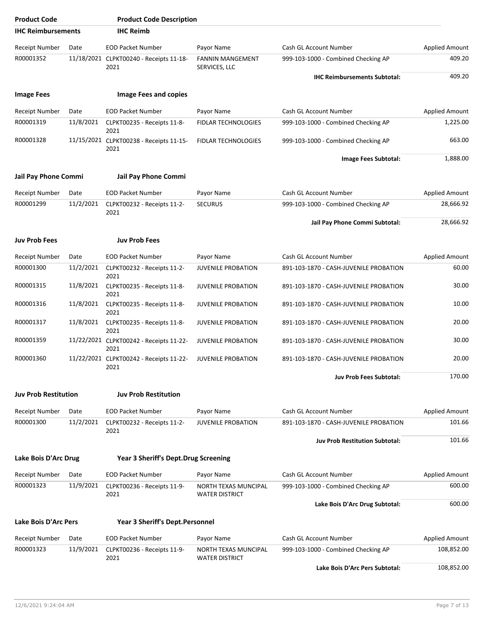| <b>Product Code</b>         |           | <b>Product Code Description</b>                 |                                               |                                        |                       |
|-----------------------------|-----------|-------------------------------------------------|-----------------------------------------------|----------------------------------------|-----------------------|
| <b>IHC Reimbursements</b>   |           | <b>IHC Reimb</b>                                |                                               |                                        |                       |
| <b>Receipt Number</b>       | Date      | <b>EOD Packet Number</b>                        | Payor Name                                    | Cash GL Account Number                 | <b>Applied Amount</b> |
| R00001352                   |           | 11/18/2021 CLPKT00240 - Receipts 11-18-<br>2021 | <b>FANNIN MANGEMENT</b><br>SERVICES, LLC      | 999-103-1000 - Combined Checking AP    | 409.20                |
|                             |           |                                                 |                                               | <b>IHC Reimbursements Subtotal:</b>    | 409.20                |
| <b>Image Fees</b>           |           | <b>Image Fees and copies</b>                    |                                               |                                        |                       |
| <b>Receipt Number</b>       | Date      | <b>EOD Packet Number</b>                        | Payor Name                                    | Cash GL Account Number                 | <b>Applied Amount</b> |
| R00001319                   | 11/8/2021 | CLPKT00235 - Receipts 11-8-                     | <b>FIDLAR TECHNOLOGIES</b>                    | 999-103-1000 - Combined Checking AP    | 1,225.00              |
| R00001328                   |           | 2021<br>11/15/2021 CLPKT00238 - Receipts 11-15- | FIDLAR TECHNOLOGIES                           | 999-103-1000 - Combined Checking AP    | 663.00                |
|                             |           | 2021                                            |                                               | Image Fees Subtotal:                   | 1,888.00              |
| Jail Pay Phone Commi        |           | Jail Pay Phone Commi                            |                                               |                                        |                       |
| <b>Receipt Number</b>       | Date      | <b>EOD Packet Number</b>                        | Payor Name                                    | Cash GL Account Number                 | <b>Applied Amount</b> |
| R00001299                   | 11/2/2021 | CLPKT00232 - Receipts 11-2-                     | <b>SECURUS</b>                                | 999-103-1000 - Combined Checking AP    | 28,666.92             |
|                             |           | 2021                                            |                                               | Jail Pay Phone Commi Subtotal:         | 28,666.92             |
| <b>Juv Prob Fees</b>        |           | <b>Juv Prob Fees</b>                            |                                               |                                        |                       |
| <b>Receipt Number</b>       | Date      | <b>EOD Packet Number</b>                        | Payor Name                                    | Cash GL Account Number                 | <b>Applied Amount</b> |
| R00001300                   | 11/2/2021 | CLPKT00232 - Receipts 11-2-<br>2021             | <b>JUVENILE PROBATION</b>                     | 891-103-1870 - CASH-JUVENILE PROBATION | 60.00                 |
| R00001315                   | 11/8/2021 | CLPKT00235 - Receipts 11-8-<br>2021             | <b>JUVENILE PROBATION</b>                     | 891-103-1870 - CASH-JUVENILE PROBATION | 30.00                 |
| R00001316                   | 11/8/2021 | CLPKT00235 - Receipts 11-8-<br>2021             | <b>JUVENILE PROBATION</b>                     | 891-103-1870 - CASH-JUVENILE PROBATION | 10.00                 |
| R00001317                   | 11/8/2021 | CLPKT00235 - Receipts 11-8-<br>2021             | <b>JUVENILE PROBATION</b>                     | 891-103-1870 - CASH-JUVENILE PROBATION | 20.00                 |
| R00001359                   |           | 11/22/2021 CLPKT00242 - Receipts 11-22-<br>2021 | <b>JUVENILE PROBATION</b>                     | 891-103-1870 - CASH-JUVENILE PROBATION | 30.00                 |
| R00001360                   |           | 11/22/2021 CLPKT00242 - Receipts 11-22-<br>2021 | <b>JUVENILE PROBATION</b>                     | 891-103-1870 - CASH-JUVENILE PROBATION | 20.00                 |
|                             |           |                                                 |                                               | Juv Prob Fees Subtotal:                | 170.00                |
| <b>Juv Prob Restitution</b> |           | <b>Juv Prob Restitution</b>                     |                                               |                                        |                       |
| Receipt Number              | Date      | <b>EOD Packet Number</b>                        | Payor Name                                    | Cash GL Account Number                 | <b>Applied Amount</b> |
| R00001300                   | 11/2/2021 | CLPKT00232 - Receipts 11-2-<br>2021             | <b>JUVENILE PROBATION</b>                     | 891-103-1870 - CASH-JUVENILE PROBATION | 101.66                |
|                             |           |                                                 |                                               | <b>Juv Prob Restitution Subtotal:</b>  | 101.66                |
| Lake Bois D'Arc Drug        |           | Year 3 Sheriff's Dept.Drug Screening            |                                               |                                        |                       |
| <b>Receipt Number</b>       | Date      | <b>EOD Packet Number</b>                        | Payor Name                                    | Cash GL Account Number                 | <b>Applied Amount</b> |
| R00001323                   | 11/9/2021 | CLPKT00236 - Receipts 11-9-<br>2021             | NORTH TEXAS MUNCIPAL<br><b>WATER DISTRICT</b> | 999-103-1000 - Combined Checking AP    | 600.00                |
|                             |           |                                                 |                                               | Lake Bois D'Arc Drug Subtotal:         | 600.00                |
| <b>Lake Bois D'Arc Pers</b> |           | Year 3 Sheriff's Dept.Personnel                 |                                               |                                        |                       |
| Receipt Number              | Date      | <b>EOD Packet Number</b>                        | Payor Name                                    | Cash GL Account Number                 | Applied Amount        |
| R00001323                   | 11/9/2021 | CLPKT00236 - Receipts 11-9-<br>2021             | NORTH TEXAS MUNCIPAL<br><b>WATER DISTRICT</b> | 999-103-1000 - Combined Checking AP    | 108,852.00            |
|                             |           |                                                 |                                               | Lake Bois D'Arc Pers Subtotal:         | 108,852.00            |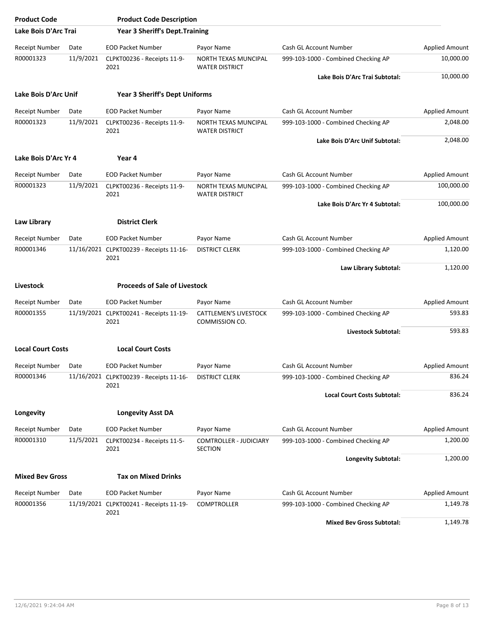| <b>Product Code</b>      |           | <b>Product Code Description</b>                 |                                                      |                                     |                       |
|--------------------------|-----------|-------------------------------------------------|------------------------------------------------------|-------------------------------------|-----------------------|
| Lake Bois D'Arc Trai     |           | <b>Year 3 Sheriff's Dept. Training</b>          |                                                      |                                     |                       |
| <b>Receipt Number</b>    | Date      | <b>EOD Packet Number</b>                        | Payor Name                                           | Cash GL Account Number              | <b>Applied Amount</b> |
| R00001323                | 11/9/2021 | CLPKT00236 - Receipts 11-9-<br>2021             | NORTH TEXAS MUNCIPAL<br><b>WATER DISTRICT</b>        | 999-103-1000 - Combined Checking AP | 10,000.00             |
|                          |           |                                                 |                                                      | Lake Bois D'Arc Trai Subtotal:      | 10,000.00             |
| Lake Bois D'Arc Unif     |           | <b>Year 3 Sheriff's Dept Uniforms</b>           |                                                      |                                     |                       |
| Receipt Number           | Date      | <b>EOD Packet Number</b>                        | Payor Name                                           | Cash GL Account Number              | <b>Applied Amount</b> |
| R00001323                | 11/9/2021 | CLPKT00236 - Receipts 11-9-<br>2021             | NORTH TEXAS MUNCIPAL<br><b>WATER DISTRICT</b>        | 999-103-1000 - Combined Checking AP | 2,048.00              |
|                          |           |                                                 |                                                      | Lake Bois D'Arc Unif Subtotal:      | 2,048.00              |
| Lake Bois D'Arc Yr 4     |           | Year 4                                          |                                                      |                                     |                       |
| <b>Receipt Number</b>    | Date      | <b>EOD Packet Number</b>                        | Payor Name                                           | Cash GL Account Number              | <b>Applied Amount</b> |
| R00001323                | 11/9/2021 | CLPKT00236 - Receipts 11-9-<br>2021             | <b>NORTH TEXAS MUNCIPAL</b><br><b>WATER DISTRICT</b> | 999-103-1000 - Combined Checking AP | 100,000.00            |
|                          |           |                                                 |                                                      | Lake Bois D'Arc Yr 4 Subtotal:      | 100,000.00            |
| Law Library              |           | <b>District Clerk</b>                           |                                                      |                                     |                       |
| <b>Receipt Number</b>    | Date      | <b>EOD Packet Number</b>                        | Payor Name                                           | Cash GL Account Number              | <b>Applied Amount</b> |
| R00001346                |           | 11/16/2021 CLPKT00239 - Receipts 11-16-<br>2021 | <b>DISTRICT CLERK</b>                                | 999-103-1000 - Combined Checking AP | 1,120.00              |
|                          |           |                                                 |                                                      | Law Library Subtotal:               | 1,120.00              |
| <b>Livestock</b>         |           | <b>Proceeds of Sale of Livestock</b>            |                                                      |                                     |                       |
| Receipt Number           | Date      | <b>EOD Packet Number</b>                        | Payor Name                                           | Cash GL Account Number              | Applied Amount        |
| R00001355                |           | 11/19/2021 CLPKT00241 - Receipts 11-19-<br>2021 | <b>CATTLEMEN'S LIVESTOCK</b><br>COMMISSION CO.       | 999-103-1000 - Combined Checking AP | 593.83                |
|                          |           |                                                 |                                                      | Livestock Subtotal:                 | 593.83                |
| <b>Local Court Costs</b> |           | <b>Local Court Costs</b>                        |                                                      |                                     |                       |
| Receipt Number           | Date      | <b>EOD Packet Number</b>                        | Payor Name                                           | Cash GL Account Number              | Applied Amount        |
| R00001346                |           | 11/16/2021 CLPKT00239 - Receipts 11-16-<br>2021 | <b>DISTRICT CLERK</b>                                | 999-103-1000 - Combined Checking AP | 836.24                |
|                          |           |                                                 |                                                      | <b>Local Court Costs Subtotal:</b>  | 836.24                |
| Longevity                |           | <b>Longevity Asst DA</b>                        |                                                      |                                     |                       |
| Receipt Number           | Date      | <b>EOD Packet Number</b>                        | Payor Name                                           | Cash GL Account Number              | Applied Amount        |
| R00001310                | 11/5/2021 | CLPKT00234 - Receipts 11-5-<br>2021             | <b>COMTROLLER - JUDICIARY</b><br><b>SECTION</b>      | 999-103-1000 - Combined Checking AP | 1,200.00              |
|                          |           |                                                 |                                                      | <b>Longevity Subtotal:</b>          | 1,200.00              |
| <b>Mixed Bev Gross</b>   |           | <b>Tax on Mixed Drinks</b>                      |                                                      |                                     |                       |
| Receipt Number           | Date      | <b>EOD Packet Number</b>                        | Payor Name                                           | Cash GL Account Number              | Applied Amount        |
| R00001356                |           | 11/19/2021 CLPKT00241 - Receipts 11-19-         | <b>COMPTROLLER</b>                                   | 999-103-1000 - Combined Checking AP | 1,149.78              |
|                          |           | 2021                                            |                                                      | <b>Mixed Bev Gross Subtotal:</b>    | 1,149.78              |

12/6/2021 9:24:04 AM Page 8 of 13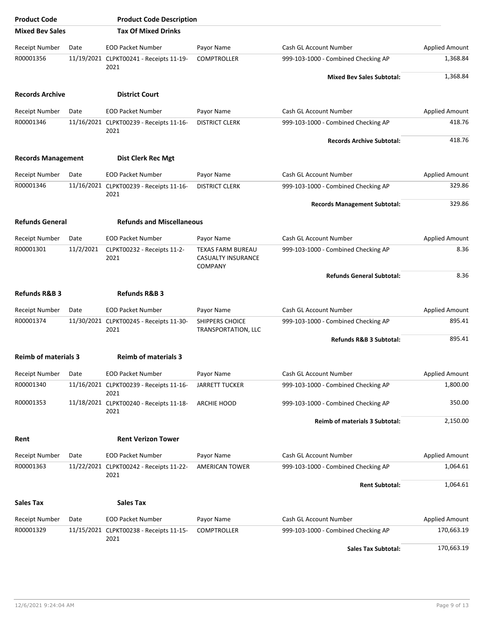| <b>Product Code</b>         |           | <b>Product Code Description</b>                 |                                                           |                                       |                       |
|-----------------------------|-----------|-------------------------------------------------|-----------------------------------------------------------|---------------------------------------|-----------------------|
| <b>Mixed Bev Sales</b>      |           | <b>Tax Of Mixed Drinks</b>                      |                                                           |                                       |                       |
| <b>Receipt Number</b>       | Date      | <b>EOD Packet Number</b>                        | Payor Name                                                | Cash GL Account Number                | <b>Applied Amount</b> |
| R00001356                   |           | 11/19/2021 CLPKT00241 - Receipts 11-19-<br>2021 | <b>COMPTROLLER</b>                                        | 999-103-1000 - Combined Checking AP   | 1,368.84              |
|                             |           |                                                 |                                                           | <b>Mixed Bev Sales Subtotal:</b>      | 1,368.84              |
| <b>Records Archive</b>      |           | <b>District Court</b>                           |                                                           |                                       |                       |
| <b>Receipt Number</b>       | Date      | <b>EOD Packet Number</b>                        | Payor Name                                                | Cash GL Account Number                | <b>Applied Amount</b> |
| R00001346                   |           | 11/16/2021 CLPKT00239 - Receipts 11-16-<br>2021 | <b>DISTRICT CLERK</b>                                     | 999-103-1000 - Combined Checking AP   | 418.76                |
|                             |           |                                                 |                                                           | <b>Records Archive Subtotal:</b>      | 418.76                |
| <b>Records Management</b>   |           | <b>Dist Clerk Rec Mgt</b>                       |                                                           |                                       |                       |
| <b>Receipt Number</b>       | Date      | <b>EOD Packet Number</b>                        | Payor Name                                                | Cash GL Account Number                | <b>Applied Amount</b> |
| R00001346                   |           | 11/16/2021 CLPKT00239 - Receipts 11-16-<br>2021 | <b>DISTRICT CLERK</b>                                     | 999-103-1000 - Combined Checking AP   | 329.86                |
|                             |           |                                                 |                                                           | <b>Records Management Subtotal:</b>   | 329.86                |
| <b>Refunds General</b>      |           | <b>Refunds and Miscellaneous</b>                |                                                           |                                       |                       |
| <b>Receipt Number</b>       | Date      | <b>EOD Packet Number</b>                        | Payor Name                                                | Cash GL Account Number                | Applied Amount        |
| R00001301                   | 11/2/2021 | CLPKT00232 - Receipts 11-2-<br>2021             | TEXAS FARM BUREAU<br>CASUALTY INSURANCE<br><b>COMPANY</b> | 999-103-1000 - Combined Checking AP   | 8.36                  |
|                             |           |                                                 |                                                           | <b>Refunds General Subtotal:</b>      | 8.36                  |
| <b>Refunds R&amp;B 3</b>    |           | <b>Refunds R&amp;B 3</b>                        |                                                           |                                       |                       |
| Receipt Number              | Date      | <b>EOD Packet Number</b>                        | Payor Name                                                | Cash GL Account Number                | Applied Amount        |
| R00001374                   |           | 11/30/2021 CLPKT00245 - Receipts 11-30-<br>2021 | <b>SHIPPERS CHOICE</b><br>TRANSPORTATION, LLC             | 999-103-1000 - Combined Checking AP   | 895.41                |
|                             |           |                                                 |                                                           | Refunds R&B 3 Subtotal:               | 895.41                |
| <b>Reimb of materials 3</b> |           | <b>Reimb of materials 3</b>                     |                                                           |                                       |                       |
| Receipt Number              | Date      | <b>EOD Packet Number</b>                        | Payor Name                                                | Cash GL Account Number                | <b>Applied Amount</b> |
| R00001340                   |           | 11/16/2021 CLPKT00239 - Receipts 11-16-<br>2021 | <b>JARRETT TUCKER</b>                                     | 999-103-1000 - Combined Checking AP   | 1,800.00              |
| R00001353                   |           | 11/18/2021 CLPKT00240 - Receipts 11-18-<br>2021 | ARCHIE HOOD                                               | 999-103-1000 - Combined Checking AP   | 350.00                |
|                             |           |                                                 |                                                           | <b>Reimb of materials 3 Subtotal:</b> | 2,150.00              |
| Rent                        |           | <b>Rent Verizon Tower</b>                       |                                                           |                                       |                       |
| Receipt Number              | Date      | <b>EOD Packet Number</b>                        | Payor Name                                                | Cash GL Account Number                | Applied Amount        |
| R00001363                   |           | 11/22/2021 CLPKT00242 - Receipts 11-22-<br>2021 | <b>AMERICAN TOWER</b>                                     | 999-103-1000 - Combined Checking AP   | 1,064.61              |
|                             |           |                                                 |                                                           | <b>Rent Subtotal:</b>                 | 1,064.61              |
| Sales Tax                   |           | Sales Tax                                       |                                                           |                                       |                       |
| <b>Receipt Number</b>       | Date      | <b>EOD Packet Number</b>                        | Payor Name                                                | Cash GL Account Number                | <b>Applied Amount</b> |
| R00001329                   |           | 11/15/2021 CLPKT00238 - Receipts 11-15-         | <b>COMPTROLLER</b>                                        | 999-103-1000 - Combined Checking AP   | 170,663.19            |
|                             |           | 2021                                            |                                                           | <b>Sales Tax Subtotal:</b>            | 170,663.19            |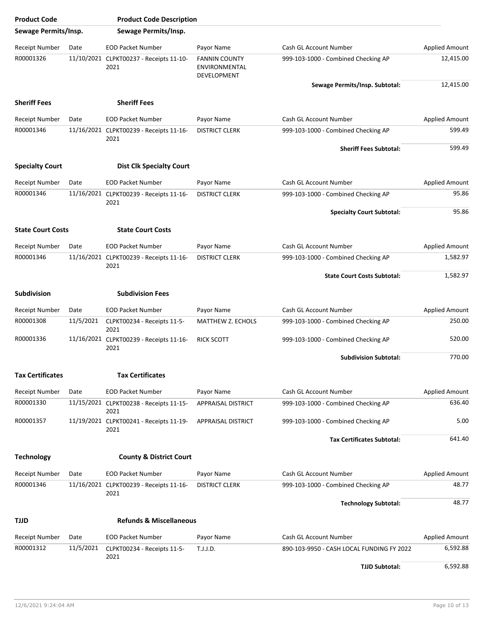| <b>Product Code</b>                |                   | <b>Product Code Description</b>                         |                                                      |                                                                     |                                   |
|------------------------------------|-------------------|---------------------------------------------------------|------------------------------------------------------|---------------------------------------------------------------------|-----------------------------------|
| Sewage Permits/Insp.               |                   | Sewage Permits/Insp.                                    |                                                      |                                                                     |                                   |
| Receipt Number                     | Date              | <b>EOD Packet Number</b>                                | Payor Name                                           | Cash GL Account Number                                              | <b>Applied Amount</b>             |
| R00001326                          |                   | 11/10/2021 CLPKT00237 - Receipts 11-10-<br>2021         | <b>FANNIN COUNTY</b><br>ENVIRONMENTAL<br>DEVELOPMENT | 999-103-1000 - Combined Checking AP                                 | 12,415.00                         |
|                                    |                   |                                                         |                                                      | Sewage Permits/Insp. Subtotal:                                      | 12,415.00                         |
| <b>Sheriff Fees</b>                |                   | <b>Sheriff Fees</b>                                     |                                                      |                                                                     |                                   |
| <b>Receipt Number</b>              | Date              | <b>EOD Packet Number</b>                                | Payor Name                                           | Cash GL Account Number                                              | <b>Applied Amount</b>             |
| R00001346                          |                   | 11/16/2021 CLPKT00239 - Receipts 11-16-<br>2021         | <b>DISTRICT CLERK</b>                                | 999-103-1000 - Combined Checking AP                                 | 599.49                            |
|                                    |                   |                                                         |                                                      | <b>Sheriff Fees Subtotal:</b>                                       | 599.49                            |
| <b>Specialty Court</b>             |                   | <b>Dist Clk Specialty Court</b>                         |                                                      |                                                                     |                                   |
| <b>Receipt Number</b>              | Date              | <b>EOD Packet Number</b>                                | Payor Name                                           | Cash GL Account Number                                              | <b>Applied Amount</b>             |
| R00001346                          |                   | 11/16/2021 CLPKT00239 - Receipts 11-16-                 | <b>DISTRICT CLERK</b>                                | 999-103-1000 - Combined Checking AP                                 | 95.86                             |
|                                    |                   | 2021                                                    |                                                      |                                                                     |                                   |
|                                    |                   |                                                         |                                                      | <b>Specialty Court Subtotal:</b>                                    | 95.86                             |
| <b>State Court Costs</b>           |                   | <b>State Court Costs</b>                                |                                                      |                                                                     |                                   |
| Receipt Number                     | Date              | <b>EOD Packet Number</b>                                | Payor Name                                           | Cash GL Account Number                                              | <b>Applied Amount</b>             |
| R00001346                          |                   | 11/16/2021 CLPKT00239 - Receipts 11-16-                 | <b>DISTRICT CLERK</b>                                | 999-103-1000 - Combined Checking AP                                 | 1,582.97                          |
|                                    |                   | 2021                                                    |                                                      | <b>State Court Costs Subtotal:</b>                                  | 1,582.97                          |
| <b>Subdivision</b>                 |                   | <b>Subdivision Fees</b>                                 |                                                      |                                                                     |                                   |
| <b>Receipt Number</b>              | Date              | <b>EOD Packet Number</b>                                | Payor Name                                           | Cash GL Account Number                                              | <b>Applied Amount</b>             |
| R00001308                          | 11/5/2021         | CLPKT00234 - Receipts 11-5-                             | <b>MATTHEW Z. ECHOLS</b>                             | 999-103-1000 - Combined Checking AP                                 | 250.00                            |
|                                    |                   | 2021                                                    |                                                      |                                                                     |                                   |
| R00001336                          |                   | 11/16/2021 CLPKT00239 - Receipts 11-16-<br>2021         | <b>RICK SCOTT</b>                                    | 999-103-1000 - Combined Checking AP                                 | 520.00                            |
|                                    |                   |                                                         |                                                      | <b>Subdivision Subtotal:</b>                                        | 770.00                            |
| <b>Tax Certificates</b>            |                   | <b>Tax Certificates</b>                                 |                                                      |                                                                     |                                   |
| <b>Receipt Number</b>              | Date              | <b>EOD Packet Number</b>                                | Payor Name                                           | Cash GL Account Number                                              | <b>Applied Amount</b>             |
| R00001330                          |                   | 11/15/2021 CLPKT00238 - Receipts 11-15-                 | APPRAISAL DISTRICT                                   | 999-103-1000 - Combined Checking AP                                 | 636.40                            |
| R00001357                          |                   | 2021<br>11/19/2021 CLPKT00241 - Receipts 11-19-         | APPRAISAL DISTRICT                                   | 999-103-1000 - Combined Checking AP                                 | 5.00                              |
|                                    |                   | 2021                                                    |                                                      |                                                                     |                                   |
|                                    |                   |                                                         |                                                      | <b>Tax Certificates Subtotal:</b>                                   | 641.40                            |
| <b>Technology</b>                  |                   | <b>County &amp; District Court</b>                      |                                                      |                                                                     |                                   |
| Receipt Number                     | Date              | <b>EOD Packet Number</b>                                | Payor Name                                           | Cash GL Account Number                                              | <b>Applied Amount</b>             |
| R00001346                          |                   | 11/16/2021 CLPKT00239 - Receipts 11-16-<br>2021         | <b>DISTRICT CLERK</b>                                | 999-103-1000 - Combined Checking AP                                 | 48.77                             |
|                                    |                   |                                                         |                                                      | <b>Technology Subtotal:</b>                                         | 48.77                             |
| TJJD                               |                   | <b>Refunds &amp; Miscellaneous</b>                      |                                                      |                                                                     |                                   |
|                                    |                   |                                                         |                                                      |                                                                     |                                   |
| <b>Receipt Number</b><br>R00001312 | Date<br>11/5/2021 | <b>EOD Packet Number</b><br>CLPKT00234 - Receipts 11-5- | Payor Name<br>T.J.J.D.                               | Cash GL Account Number<br>890-103-9950 - CASH LOCAL FUNDING FY 2022 | <b>Applied Amount</b><br>6,592.88 |
|                                    |                   | 2021                                                    |                                                      |                                                                     |                                   |
|                                    |                   |                                                         |                                                      | <b>TJJD Subtotal:</b>                                               | 6,592.88                          |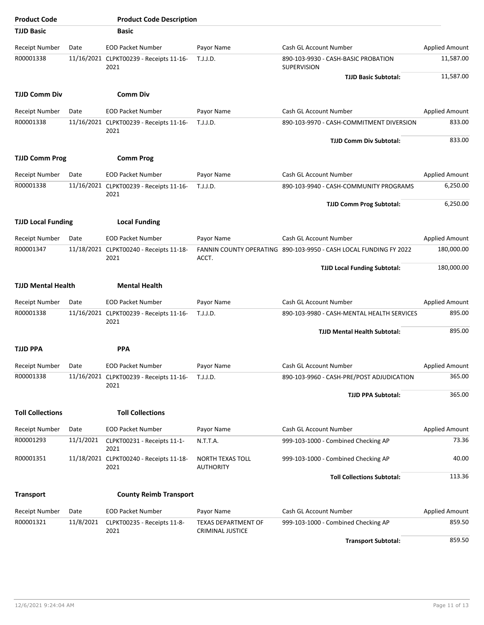| <b>Product Code</b>         |           | <b>Product Code Description</b>                                     |                                      |                                                                      |                                 |
|-----------------------------|-----------|---------------------------------------------------------------------|--------------------------------------|----------------------------------------------------------------------|---------------------------------|
| <b>TJJD Basic</b>           |           | <b>Basic</b>                                                        |                                      |                                                                      |                                 |
| Receipt Number              | Date      | <b>EOD Packet Number</b>                                            | Payor Name                           | Cash GL Account Number                                               | <b>Applied Amount</b>           |
| R00001338                   |           | 11/16/2021 CLPKT00239 - Receipts 11-16-<br>2021                     | T.J.J.D.                             | 890-103-9930 - CASH-BASIC PROBATION<br>SUPERVISION                   | 11,587.00                       |
|                             |           |                                                                     |                                      | <b>TJJD Basic Subtotal:</b>                                          | 11,587.00                       |
| <b>TJJD Comm Div</b>        |           | <b>Comm Div</b>                                                     |                                      |                                                                      |                                 |
| <b>Receipt Number</b>       | Date      | <b>EOD Packet Number</b>                                            | Payor Name                           | Cash GL Account Number                                               | <b>Applied Amount</b>           |
| R00001338                   |           | 11/16/2021 CLPKT00239 - Receipts 11-16-<br>2021                     | T.J.J.D.                             | 890-103-9970 - CASH-COMMITMENT DIVERSION                             | 833.00<br>833.00                |
|                             |           |                                                                     |                                      | <b>TJJD Comm Div Subtotal:</b>                                       |                                 |
| <b>TJJD Comm Prog</b>       |           | <b>Comm Prog</b>                                                    |                                      |                                                                      |                                 |
| Receipt Number              | Date      | <b>EOD Packet Number</b>                                            | Payor Name                           | Cash GL Account Number                                               | <b>Applied Amount</b>           |
| R00001338                   |           | 11/16/2021 CLPKT00239 - Receipts 11-16-                             | T.J.J.D.                             | 890-103-9940 - CASH-COMMUNITY PROGRAMS                               | 6,250.00                        |
|                             |           | 2021                                                                |                                      | <b>TJJD Comm Prog Subtotal:</b>                                      | 6,250.00                        |
|                             |           |                                                                     |                                      |                                                                      |                                 |
| <b>TJJD Local Funding</b>   |           | <b>Local Funding</b>                                                |                                      |                                                                      |                                 |
| <b>Receipt Number</b>       | Date      | <b>EOD Packet Number</b>                                            | Payor Name                           | Cash GL Account Number                                               | <b>Applied Amount</b>           |
| R00001347                   |           | 11/18/2021 CLPKT00240 - Receipts 11-18-<br>2021                     | ACCT.                                | FANNIN COUNTY OPERATING 890-103-9950 - CASH LOCAL FUNDING FY 2022    | 180,000.00                      |
|                             |           |                                                                     |                                      | <b>TJJD Local Funding Subtotal:</b>                                  | 180,000.00                      |
| <b>TJJD Mental Health</b>   |           | <b>Mental Health</b>                                                |                                      |                                                                      |                                 |
|                             |           |                                                                     |                                      |                                                                      |                                 |
| Receipt Number<br>R00001338 | Date      | <b>EOD Packet Number</b><br>11/16/2021 CLPKT00239 - Receipts 11-16- | Payor Name<br>T.J.J.D.               | Cash GL Account Number<br>890-103-9980 - CASH-MENTAL HEALTH SERVICES | <b>Applied Amount</b><br>895.00 |
|                             |           | 2021                                                                |                                      | <b>TJJD Mental Health Subtotal:</b>                                  | 895.00                          |
|                             |           |                                                                     |                                      |                                                                      |                                 |
| <b>TJJD PPA</b>             |           | <b>PPA</b>                                                          |                                      |                                                                      |                                 |
| Receipt Number              | Date      | <b>EOD Packet Number</b>                                            | Payor Name                           | Cash GL Account Number                                               | <b>Applied Amount</b>           |
| R00001338                   |           | 11/16/2021 CLPKT00239 - Receipts 11-16-<br>2021                     | T.J.J.D.                             | 890-103-9960 - CASH-PRE/POST ADJUDICATION                            | 365.00                          |
|                             |           |                                                                     |                                      | <b>TJJD PPA Subtotal:</b>                                            | 365.00                          |
| <b>Toll Collections</b>     |           | <b>Toll Collections</b>                                             |                                      |                                                                      |                                 |
| <b>Receipt Number</b>       | Date      | <b>EOD Packet Number</b>                                            | Payor Name                           | Cash GL Account Number                                               | Applied Amount                  |
| R00001293                   | 11/1/2021 | CLPKT00231 - Receipts 11-1-<br>2021                                 | N.T.T.A.                             | 999-103-1000 - Combined Checking AP                                  | 73.36                           |
| R00001351                   |           | 11/18/2021 CLPKT00240 - Receipts 11-18-<br>2021                     | NORTH TEXAS TOLL<br><b>AUTHORITY</b> | 999-103-1000 - Combined Checking AP                                  | 40.00                           |
|                             |           |                                                                     |                                      | <b>Toll Collections Subtotal:</b>                                    | 113.36                          |
| <b>Transport</b>            |           | <b>County Reimb Transport</b>                                       |                                      |                                                                      |                                 |
| <b>Receipt Number</b>       | Date      | <b>EOD Packet Number</b>                                            | Payor Name                           | Cash GL Account Number                                               | <b>Applied Amount</b>           |
| R00001321                   | 11/8/2021 | CLPKT00235 - Receipts 11-8-                                         | <b>TEXAS DEPARTMENT OF</b>           | 999-103-1000 - Combined Checking AP                                  | 859.50                          |
|                             |           | 2021                                                                | CRIMINAL JUSTICE                     |                                                                      | 859.50                          |
|                             |           |                                                                     |                                      | <b>Transport Subtotal:</b>                                           |                                 |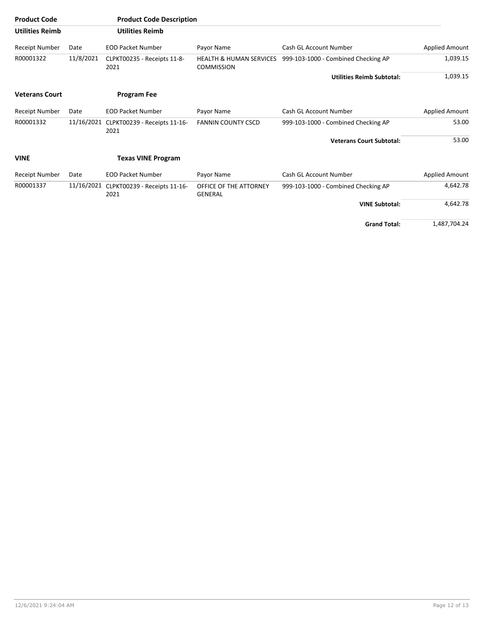| <b>Product Code</b>    |            | <b>Product Code Description</b>      |                                                         |                                     |                       |
|------------------------|------------|--------------------------------------|---------------------------------------------------------|-------------------------------------|-----------------------|
| <b>Utilities Reimb</b> |            | <b>Utilities Reimb</b>               |                                                         |                                     |                       |
| Receipt Number         | Date       | <b>EOD Packet Number</b>             | Payor Name                                              | Cash GL Account Number              | <b>Applied Amount</b> |
| R00001322              | 11/8/2021  | CLPKT00235 - Receipts 11-8-<br>2021  | <b>HEALTH &amp; HUMAN SERVICES</b><br><b>COMMISSION</b> | 999-103-1000 - Combined Checking AP | 1,039.15              |
|                        |            |                                      |                                                         | <b>Utilities Reimb Subtotal:</b>    | 1,039.15              |
| <b>Veterans Court</b>  |            | <b>Program Fee</b>                   |                                                         |                                     |                       |
| Receipt Number         | Date       | <b>EOD Packet Number</b>             | Payor Name                                              | Cash GL Account Number              | Applied Amount        |
| R00001332              | 11/16/2021 | CLPKT00239 - Receipts 11-16-<br>2021 | <b>FANNIN COUNTY CSCD</b>                               | 999-103-1000 - Combined Checking AP | 53.00                 |
|                        |            |                                      |                                                         | <b>Veterans Court Subtotal:</b>     | 53.00                 |
| <b>VINE</b>            |            | <b>Texas VINE Program</b>            |                                                         |                                     |                       |
| Receipt Number         | Date       | <b>EOD Packet Number</b>             | Payor Name                                              | Cash GL Account Number              | Applied Amount        |
| R00001337              | 11/16/2021 | CLPKT00239 - Receipts 11-16-<br>2021 | OFFICE OF THE ATTORNEY<br><b>GENERAL</b>                | 999-103-1000 - Combined Checking AP | 4,642.78              |
|                        |            |                                      |                                                         | <b>VINE Subtotal:</b>               | 4,642.78              |
|                        |            |                                      |                                                         | <b>Grand Total:</b>                 | 1,487,704.24          |